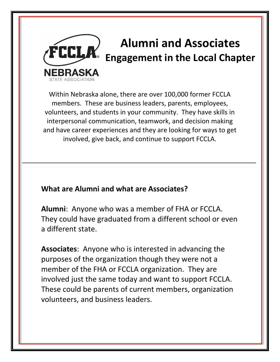

# **Alumni and Associates Engagement in the Local Chapter**

Within Nebraska alone, there are over 100,000 former FCCLA members. These are business leaders, parents, employees, volunteers, and students in your community. They have skills in interpersonal communication, teamwork, and decision making and have career experiences and they are looking for ways to get involved, give back, and continue to support FCCLA.

## **What are Alumni and what are Associates?**

**Alumni**: Anyone who was a member of FHA or FCCLA. They could have graduated from a different school or even a different state.

**Associates**: Anyone who is interested in advancing the purposes of the organization though they were not a member of the FHA or FCCLA organization. They are involved just the same today and want to support FCCLA. These could be parents of current members, organization volunteers, and business leaders.